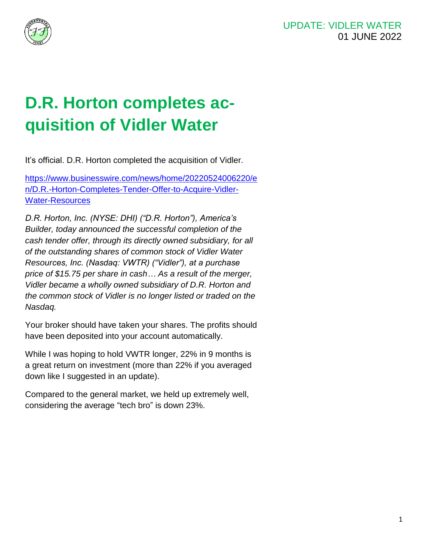



## **D.R. Horton completes acquisition of Vidler Water**

It's official. D.R. Horton completed the acquisition of Vidler.

[https://www.businesswire.com/news/home/20220524006220/e](https://www.businesswire.com/news/home/20220524006220/en/D.R.-Horton-Completes-Tender-Offer-to-Acquire-Vidler-Water-Resources) [n/D.R.-Horton-Completes-Tender-Offer-to-Acquire-Vidler-](https://www.businesswire.com/news/home/20220524006220/en/D.R.-Horton-Completes-Tender-Offer-to-Acquire-Vidler-Water-Resources)[Water-Resources](https://www.businesswire.com/news/home/20220524006220/en/D.R.-Horton-Completes-Tender-Offer-to-Acquire-Vidler-Water-Resources)

*D.R. Horton, Inc. (NYSE: DHI) ("D.R. Horton"), America's*  Builder, today announced the successful completion of the cash tender offer, through its directly owned subsidiary, for all of the outstanding shares of common stock of Vidler Water Resour*ces, Inc. (Nasdaq: VWTR) ("Vidler"), at a purchase*  price of \$15.75 per share in cash*…* As a result of the merger, Vidler became a wholly owned subsidiary of D.R. Horton and the common stock of Vidler is no longer listed or traded on the Nasdaq.

Your broker should have taken your shares. The profits should have been deposited into your account automatically.

While I was hoping to hold VWTR longer, 22% in 9 months is a great return on investment (more than 22% if you averaged down like I suggested in an update).

Compared to the general market, we held up extremely well, considering the average "tech bro" is down 23%.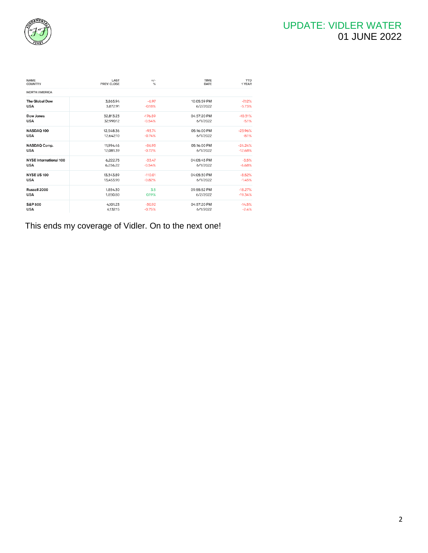

| <b>NAME</b><br><b>COUNTRY</b> | LAST<br>PREV. CLOSE | $+/-$<br>% | <b>TIME</b><br>DATE | <b>YTD</b><br>1 YEAR |
|-------------------------------|---------------------|------------|---------------------|----------------------|
| <b>NORTH AMERICA</b>          |                     |            |                     |                      |
| <b>The Global Dow</b>         | 3.865.94            | $-6.97$    | 10:05:59 PM         | $-7.12%$             |
| <b>USA</b>                    | 3,872.91            | $-0.18%$   | 6/2/2022            | $-5.73%$             |
| Dow Jones                     | 32,813.23           | $-176.89$  | 04:57:20 PM         | $-10.31%$            |
| <b>USA</b>                    | 32,990.12           | $-0.54%$   | 6/1/2022            | $-5.1%$              |
| NASDAQ 100                    | 12,548.36           | $-93.74$   | 05:16:00 PM         | $-23.96%$            |
| <b>USA</b>                    | 12.642.10           | $-0.74%$   | 6/1/2022            | $-8.1%$              |
| NASDAQ Comp.                  | 11,994.46           | $-86.93$   | 05:16:00 PM         | $-24.24%$            |
| <b>USA</b>                    | 12,081.39           | $-0.72%$   | 6/1/2022            | $-12.68%$            |
| <b>NYSE International 100</b> | 6,222.75            | $-33.47$   | 04:05:45 PM         | $-3.5%$              |
| <b>USA</b>                    | 6,256,22            | $-0.54%$   | 6/1/2022            | $-6.68%$             |
| <b>NYSE US 100</b>            | 13.343.89           | $-110.01$  | 04:05:30 PM         | $-8.52%$             |
| <b>USA</b>                    | 13,453.90           | $-0.82%$   | 6/1/2022            | $-1.45%$             |
| Russell 2000                  | 1,854.30            | 3.5        | 09:55:52 PM         | $-18.27%$            |
| <b>USA</b>                    | 1,850.80            | 0.19%      | 6/2/2022            | $-19.34%$            |
| S&P 500                       | 4,101.23            | $-30.92$   | 04:57:20 PM         | $-14.5%$             |
| <b>USA</b>                    | 4,132,15            | $-0.75%$   | 6/1/2022            | $-2.4%$              |

This ends my coverage of Vidler. On to the next one!